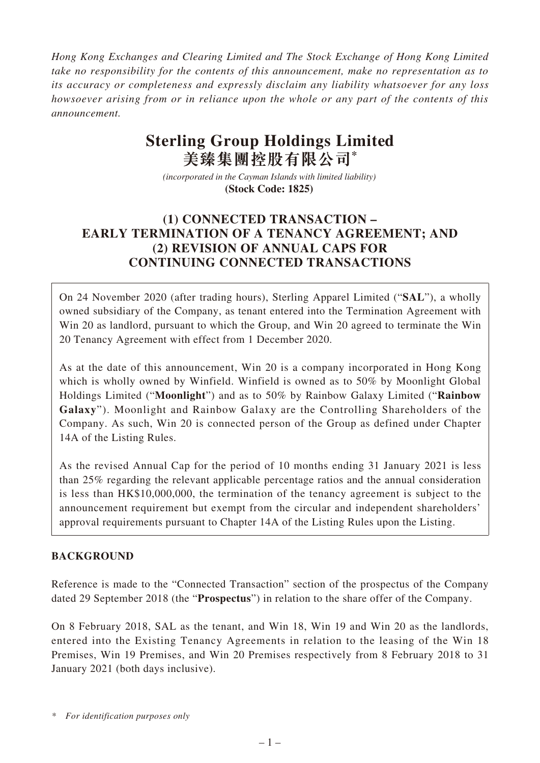*Hong Kong Exchanges and Clearing Limited and The Stock Exchange of Hong Kong Limited take no responsibility for the contents of this announcement, make no representation as to its accuracy or completeness and expressly disclaim any liability whatsoever for any loss howsoever arising from or in reliance upon the whole or any part of the contents of this announcement.*

# **Sterling Group Holdings Limited 美臻集團控股有限公司\***

*(incorporated in the Cayman Islands with limited liability)*  **(Stock Code: 1825)** 

# **(1) CONNECTED TRANSACTION – EARLY TERMINATION OF A TENANCY AGREEMENT; AND (2) REVISION OF ANNUAL CAPS FOR CONTINUING CONNECTED TRANSACTIONS**

On 24 November 2020 (after trading hours), Sterling Apparel Limited ("**SAL**"), a wholly owned subsidiary of the Company, as tenant entered into the Termination Agreement with Win 20 as landlord, pursuant to which the Group, and Win 20 agreed to terminate the Win 20 Tenancy Agreement with effect from 1 December 2020.

As at the date of this announcement, Win 20 is a company incorporated in Hong Kong which is wholly owned by Winfield. Winfield is owned as to 50% by Moonlight Global Holdings Limited ("**Moonlight**") and as to 50% by Rainbow Galaxy Limited ("**Rainbow Galaxy**"). Moonlight and Rainbow Galaxy are the Controlling Shareholders of the Company. As such, Win 20 is connected person of the Group as defined under Chapter 14A of the Listing Rules.

As the revised Annual Cap for the period of 10 months ending 31 January 2021 is less than 25% regarding the relevant applicable percentage ratios and the annual consideration is less than HK\$10,000,000, the termination of the tenancy agreement is subject to the announcement requirement but exempt from the circular and independent shareholders' approval requirements pursuant to Chapter 14A of the Listing Rules upon the Listing.

# **BACKGROUND**

Reference is made to the "Connected Transaction" section of the prospectus of the Company dated 29 September 2018 (the "**Prospectus**") in relation to the share offer of the Company.

On 8 February 2018, SAL as the tenant, and Win 18, Win 19 and Win 20 as the landlords, entered into the Existing Tenancy Agreements in relation to the leasing of the Win 18 Premises, Win 19 Premises, and Win 20 Premises respectively from 8 February 2018 to 31 January 2021 (both days inclusive).

*<sup>\*</sup> For identification purposes only*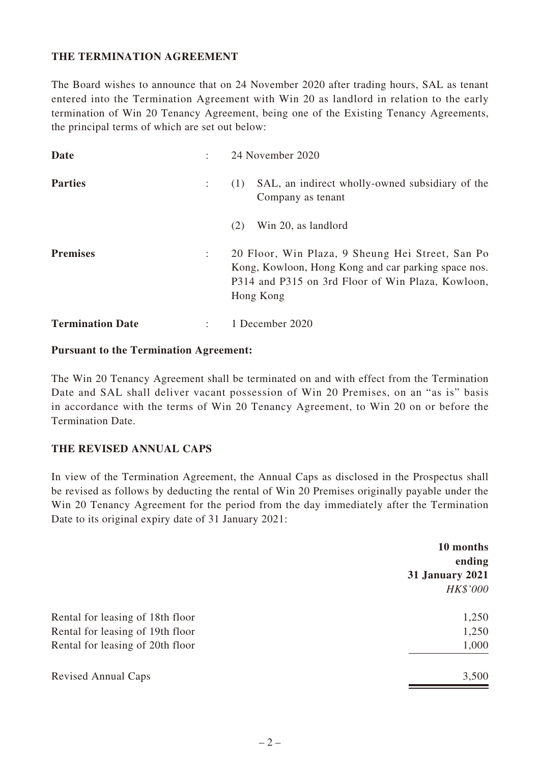## **THE TERMINATION AGREEMENT**

The Board wishes to announce that on 24 November 2020 after trading hours, SAL as tenant entered into the Termination Agreement with Win 20 as landlord in relation to the early termination of Win 20 Tenancy Agreement, being one of the Existing Tenancy Agreements, the principal terms of which are set out below:

| Date                    |   | 24 November 2020                                                                                                                                                          |
|-------------------------|---|---------------------------------------------------------------------------------------------------------------------------------------------------------------------------|
| <b>Parties</b>          |   | SAL, an indirect wholly-owned subsidiary of the<br>(1)<br>Company as tenant                                                                                               |
|                         |   | Win 20, as landlord<br>(2)                                                                                                                                                |
| <b>Premises</b>         | ÷ | 20 Floor, Win Plaza, 9 Sheung Hei Street, San Po<br>Kong, Kowloon, Hong Kong and car parking space nos.<br>P314 and P315 on 3rd Floor of Win Plaza, Kowloon,<br>Hong Kong |
| <b>Termination Date</b> |   | 1 December 2020                                                                                                                                                           |

#### **Pursuant to the Termination Agreement:**

The Win 20 Tenancy Agreement shall be terminated on and with effect from the Termination Date and SAL shall deliver vacant possession of Win 20 Premises, on an "as is" basis in accordance with the terms of Win 20 Tenancy Agreement, to Win 20 on or before the Termination Date.

#### **THE REVISED ANNUAL CAPS**

In view of the Termination Agreement, the Annual Caps as disclosed in the Prospectus shall be revised as follows by deducting the rental of Win 20 Premises originally payable under the Win 20 Tenancy Agreement for the period from the day immediately after the Termination Date to its original expiry date of 31 January 2021:

|                                  | 10 months<br>ending    |
|----------------------------------|------------------------|
|                                  | <b>31 January 2021</b> |
|                                  | HK\$'000               |
| Rental for leasing of 18th floor | 1,250                  |
| Rental for leasing of 19th floor | 1,250                  |
| Rental for leasing of 20th floor | 1,000                  |
| <b>Revised Annual Caps</b>       | 3,500                  |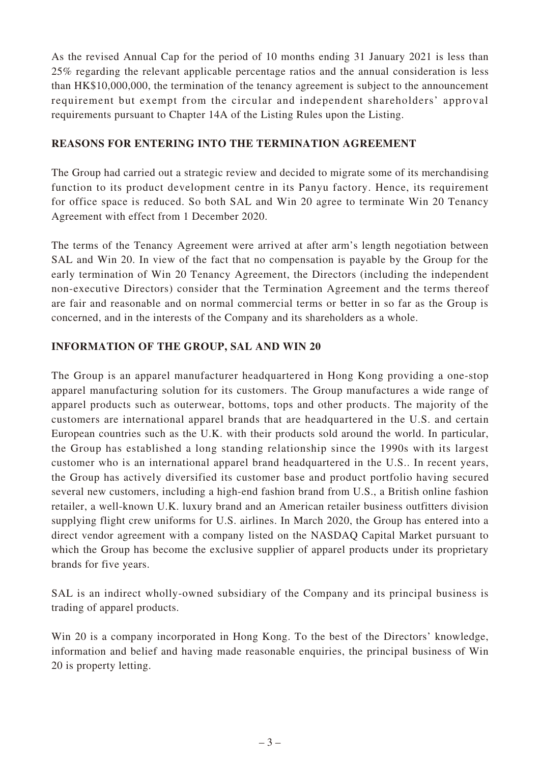As the revised Annual Cap for the period of 10 months ending 31 January 2021 is less than 25% regarding the relevant applicable percentage ratios and the annual consideration is less than HK\$10,000,000, the termination of the tenancy agreement is subject to the announcement requirement but exempt from the circular and independent shareholders' approval requirements pursuant to Chapter 14A of the Listing Rules upon the Listing.

# **REASONS FOR ENTERING INTO THE TERMINATION AGREEMENT**

The Group had carried out a strategic review and decided to migrate some of its merchandising function to its product development centre in its Panyu factory. Hence, its requirement for office space is reduced. So both SAL and Win 20 agree to terminate Win 20 Tenancy Agreement with effect from 1 December 2020.

The terms of the Tenancy Agreement were arrived at after arm's length negotiation between SAL and Win 20. In view of the fact that no compensation is payable by the Group for the early termination of Win 20 Tenancy Agreement, the Directors (including the independent non-executive Directors) consider that the Termination Agreement and the terms thereof are fair and reasonable and on normal commercial terms or better in so far as the Group is concerned, and in the interests of the Company and its shareholders as a whole.

# **INFORMATION OF THE GROUP, SAL AND WIN 20**

The Group is an apparel manufacturer headquartered in Hong Kong providing a one-stop apparel manufacturing solution for its customers. The Group manufactures a wide range of apparel products such as outerwear, bottoms, tops and other products. The majority of the customers are international apparel brands that are headquartered in the U.S. and certain European countries such as the U.K. with their products sold around the world. In particular, the Group has established a long standing relationship since the 1990s with its largest customer who is an international apparel brand headquartered in the U.S.. In recent years, the Group has actively diversified its customer base and product portfolio having secured several new customers, including a high-end fashion brand from U.S., a British online fashion retailer, a well-known U.K. luxury brand and an American retailer business outfitters division supplying flight crew uniforms for U.S. airlines. In March 2020, the Group has entered into a direct vendor agreement with a company listed on the NASDAQ Capital Market pursuant to which the Group has become the exclusive supplier of apparel products under its proprietary brands for five years.

SAL is an indirect wholly-owned subsidiary of the Company and its principal business is trading of apparel products.

Win 20 is a company incorporated in Hong Kong. To the best of the Directors' knowledge, information and belief and having made reasonable enquiries, the principal business of Win 20 is property letting.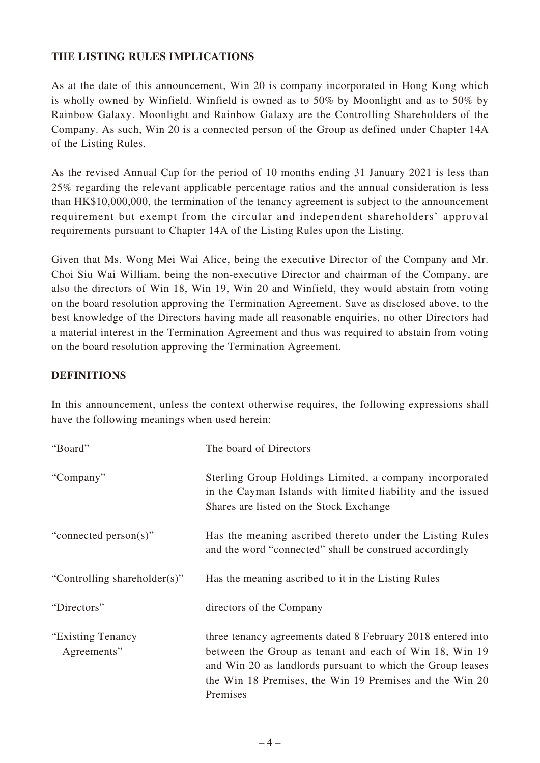# **THE LISTING RULES IMPLICATIONS**

As at the date of this announcement, Win 20 is company incorporated in Hong Kong which is wholly owned by Winfield. Winfield is owned as to 50% by Moonlight and as to 50% by Rainbow Galaxy. Moonlight and Rainbow Galaxy are the Controlling Shareholders of the Company. As such, Win 20 is a connected person of the Group as defined under Chapter 14A of the Listing Rules.

As the revised Annual Cap for the period of 10 months ending 31 January 2021 is less than 25% regarding the relevant applicable percentage ratios and the annual consideration is less than HK\$10,000,000, the termination of the tenancy agreement is subject to the announcement requirement but exempt from the circular and independent shareholders' approval requirements pursuant to Chapter 14A of the Listing Rules upon the Listing.

Given that Ms. Wong Mei Wai Alice, being the executive Director of the Company and Mr. Choi Siu Wai William, being the non-executive Director and chairman of the Company, are also the directors of Win 18, Win 19, Win 20 and Winfield, they would abstain from voting on the board resolution approving the Termination Agreement. Save as disclosed above, to the best knowledge of the Directors having made all reasonable enquiries, no other Directors had a material interest in the Termination Agreement and thus was required to abstain from voting on the board resolution approving the Termination Agreement.

## **DEFINITIONS**

In this announcement, unless the context otherwise requires, the following expressions shall have the following meanings when used herein:

| "Board"                           | The board of Directors                                                                                                                                                                                                                                     |
|-----------------------------------|------------------------------------------------------------------------------------------------------------------------------------------------------------------------------------------------------------------------------------------------------------|
| "Company"                         | Sterling Group Holdings Limited, a company incorporated<br>in the Cayman Islands with limited liability and the issued<br>Shares are listed on the Stock Exchange                                                                                          |
| "connected person(s)"             | Has the meaning ascribed thereto under the Listing Rules<br>and the word "connected" shall be construed accordingly                                                                                                                                        |
| "Controlling shareholder(s)"      | Has the meaning ascribed to it in the Listing Rules                                                                                                                                                                                                        |
| "Directors"                       | directors of the Company                                                                                                                                                                                                                                   |
| "Existing Tenancy"<br>Agreements" | three tenancy agreements dated 8 February 2018 entered into<br>between the Group as tenant and each of Win 18, Win 19<br>and Win 20 as landlords pursuant to which the Group leases<br>the Win 18 Premises, the Win 19 Premises and the Win 20<br>Premises |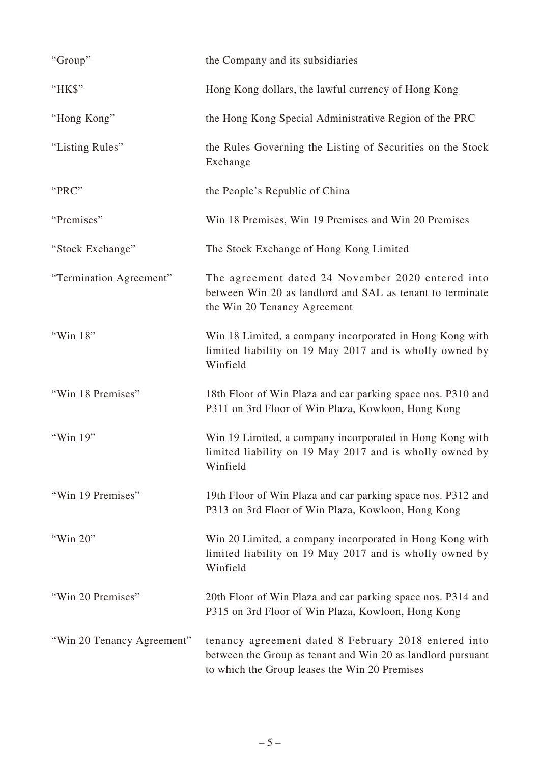| "Group"                    | the Company and its subsidiaries                                                                                                                                     |
|----------------------------|----------------------------------------------------------------------------------------------------------------------------------------------------------------------|
| "HK\$"                     | Hong Kong dollars, the lawful currency of Hong Kong                                                                                                                  |
| "Hong Kong"                | the Hong Kong Special Administrative Region of the PRC                                                                                                               |
| "Listing Rules"            | the Rules Governing the Listing of Securities on the Stock<br>Exchange                                                                                               |
| "PRC"                      | the People's Republic of China                                                                                                                                       |
| "Premises"                 | Win 18 Premises, Win 19 Premises and Win 20 Premises                                                                                                                 |
| "Stock Exchange"           | The Stock Exchange of Hong Kong Limited                                                                                                                              |
| "Termination Agreement"    | The agreement dated 24 November 2020 entered into<br>between Win 20 as landlord and SAL as tenant to terminate<br>the Win 20 Tenancy Agreement                       |
| "Win 18"                   | Win 18 Limited, a company incorporated in Hong Kong with<br>limited liability on 19 May 2017 and is wholly owned by<br>Winfield                                      |
| "Win 18 Premises"          | 18th Floor of Win Plaza and car parking space nos. P310 and<br>P311 on 3rd Floor of Win Plaza, Kowloon, Hong Kong                                                    |
| "Win 19"                   | Win 19 Limited, a company incorporated in Hong Kong with<br>limited liability on 19 May 2017 and is wholly owned by<br>Winfield                                      |
| "Win 19 Premises"          | 19th Floor of Win Plaza and car parking space nos. P312 and<br>P313 on 3rd Floor of Win Plaza, Kowloon, Hong Kong                                                    |
| "Win 20"                   | Win 20 Limited, a company incorporated in Hong Kong with<br>limited liability on 19 May 2017 and is wholly owned by<br>Winfield                                      |
| "Win 20 Premises"          | 20th Floor of Win Plaza and car parking space nos. P314 and<br>P315 on 3rd Floor of Win Plaza, Kowloon, Hong Kong                                                    |
| "Win 20 Tenancy Agreement" | tenancy agreement dated 8 February 2018 entered into<br>between the Group as tenant and Win 20 as landlord pursuant<br>to which the Group leases the Win 20 Premises |